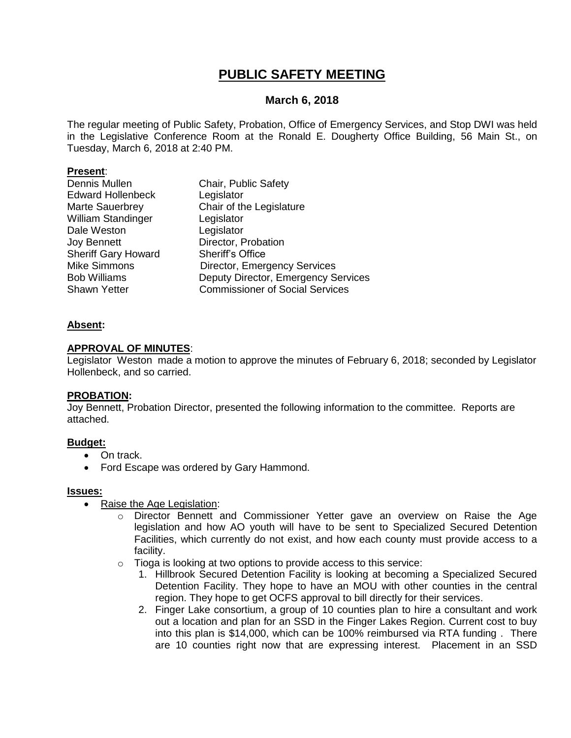# **PUBLIC SAFETY MEETING**

### **March 6, 2018**

The regular meeting of Public Safety, Probation, Office of Emergency Services, and Stop DWI was held in the Legislative Conference Room at the Ronald E. Dougherty Office Building, 56 Main St., on Tuesday, March 6, 2018 at 2:40 PM.

#### **Present**:

| Dennis Mullen              | Chair, Public Safety                   |
|----------------------------|----------------------------------------|
| <b>Edward Hollenbeck</b>   | Legislator                             |
| Marte Sauerbrey            | Chair of the Legislature               |
| William Standinger         | Legislator                             |
| Dale Weston                | Legislator                             |
| <b>Joy Bennett</b>         | Director, Probation                    |
| <b>Sheriff Gary Howard</b> | <b>Sheriff's Office</b>                |
| <b>Mike Simmons</b>        | Director, Emergency Services           |
| <b>Bob Williams</b>        | Deputy Director, Emergency Services    |
| <b>Shawn Yetter</b>        | <b>Commissioner of Social Services</b> |
|                            |                                        |

#### **Absent:**

#### **APPROVAL OF MINUTES**:

Legislator Weston made a motion to approve the minutes of February 6, 2018; seconded by Legislator Hollenbeck, and so carried.

#### **PROBATION:**

Joy Bennett, Probation Director, presented the following information to the committee. Reports are attached.

#### **Budget:**

- On track.
- Ford Escape was ordered by Gary Hammond.

#### **Issues:**

- Raise the Age Legislation:
	- o Director Bennett and Commissioner Yetter gave an overview on Raise the Age legislation and how AO youth will have to be sent to Specialized Secured Detention Facilities, which currently do not exist, and how each county must provide access to a facility.
	- $\circ$  Tioga is looking at two options to provide access to this service:
		- 1. Hillbrook Secured Detention Facility is looking at becoming a Specialized Secured Detention Facility. They hope to have an MOU with other counties in the central region. They hope to get OCFS approval to bill directly for their services.
		- 2. Finger Lake consortium, a group of 10 counties plan to hire a consultant and work out a location and plan for an SSD in the Finger Lakes Region. Current cost to buy into this plan is \$14,000, which can be 100% reimbursed via RTA funding . There are 10 counties right now that are expressing interest. Placement in an SSD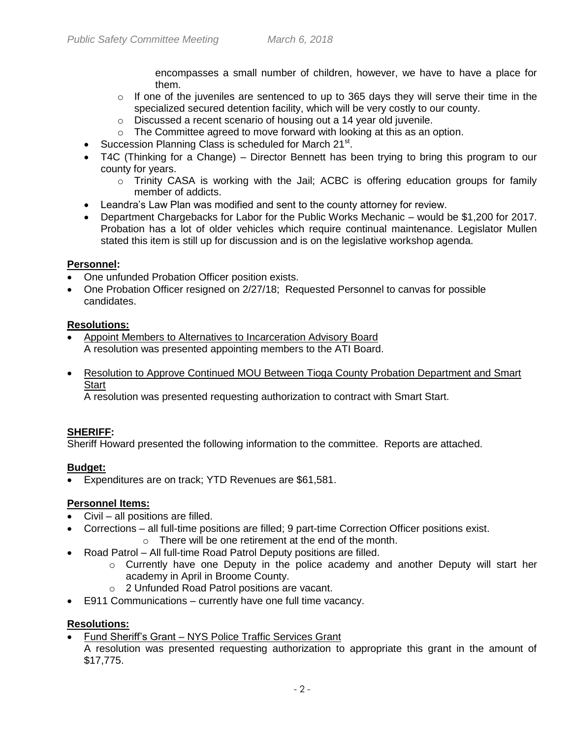encompasses a small number of children, however, we have to have a place for them.

- $\circ$  If one of the juveniles are sentenced to up to 365 days they will serve their time in the specialized secured detention facility, which will be very costly to our county.
- o Discussed a recent scenario of housing out a 14 year old juvenile.
- o The Committee agreed to move forward with looking at this as an option.
- Succession Planning Class is scheduled for March 21<sup>st</sup>.
- T4C (Thinking for a Change) Director Bennett has been trying to bring this program to our county for years.
	- $\circ$  Trinity CASA is working with the Jail; ACBC is offering education groups for family member of addicts.
- Leandra's Law Plan was modified and sent to the county attorney for review.
- Department Chargebacks for Labor for the Public Works Mechanic would be \$1,200 for 2017. Probation has a lot of older vehicles which require continual maintenance. Legislator Mullen stated this item is still up for discussion and is on the legislative workshop agenda.

# **Personnel:**

- One unfunded Probation Officer position exists.
- One Probation Officer resigned on 2/27/18; Requested Personnel to canvas for possible candidates.

### **Resolutions:**

- Appoint Members to Alternatives to Incarceration Advisory Board A resolution was presented appointing members to the ATI Board.
- Resolution to Approve Continued MOU Between Tioga County Probation Department and Smart **Start**

A resolution was presented requesting authorization to contract with Smart Start.

# **SHERIFF:**

Sheriff Howard presented the following information to the committee. Reports are attached.

# **Budget:**

Expenditures are on track; YTD Revenues are \$61,581.

# **Personnel Items:**

- Civil all positions are filled.
- Corrections all full-time positions are filled; 9 part-time Correction Officer positions exist.
	- o There will be one retirement at the end of the month.
- Road Patrol All full-time Road Patrol Deputy positions are filled.
	- $\circ$  Currently have one Deputy in the police academy and another Deputy will start her academy in April in Broome County.
	- o 2 Unfunded Road Patrol positions are vacant.
- E911 Communications currently have one full time vacancy.

# **Resolutions:**

- Fund Sheriff's Grant NYS Police Traffic Services Grant
	- A resolution was presented requesting authorization to appropriate this grant in the amount of \$17,775.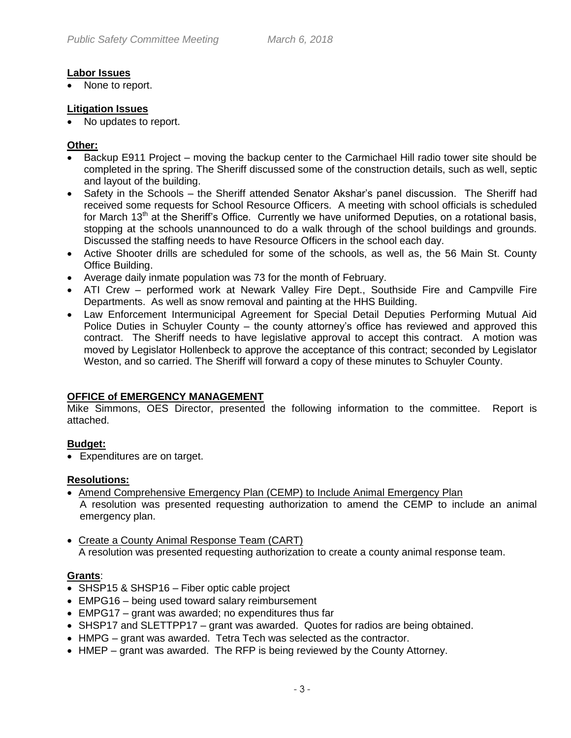#### **Labor Issues**

None to report.

#### **Litigation Issues**

• No updates to report.

#### **Other:**

- Backup E911 Project moving the backup center to the Carmichael Hill radio tower site should be completed in the spring. The Sheriff discussed some of the construction details, such as well, septic and layout of the building.
- Safety in the Schools the Sheriff attended Senator Akshar's panel discussion. The Sheriff had received some requests for School Resource Officers. A meeting with school officials is scheduled for March 13<sup>th</sup> at the Sheriff's Office. Currently we have uniformed Deputies, on a rotational basis, stopping at the schools unannounced to do a walk through of the school buildings and grounds. Discussed the staffing needs to have Resource Officers in the school each day.
- Active Shooter drills are scheduled for some of the schools, as well as, the 56 Main St. County Office Building.
- Average daily inmate population was 73 for the month of February.
- ATI Crew performed work at Newark Valley Fire Dept., Southside Fire and Campville Fire Departments. As well as snow removal and painting at the HHS Building.
- Law Enforcement Intermunicipal Agreement for Special Detail Deputies Performing Mutual Aid Police Duties in Schuyler County – the county attorney's office has reviewed and approved this contract. The Sheriff needs to have legislative approval to accept this contract. A motion was moved by Legislator Hollenbeck to approve the acceptance of this contract; seconded by Legislator Weston, and so carried. The Sheriff will forward a copy of these minutes to Schuyler County.

# **OFFICE of EMERGENCY MANAGEMENT**

Mike Simmons, OES Director, presented the following information to the committee. Report is attached.

# **Budget:**

Expenditures are on target.

#### **Resolutions:**

- Amend Comprehensive Emergency Plan (CEMP) to Include Animal Emergency Plan A resolution was presented requesting authorization to amend the CEMP to include an animal emergency plan.
- Create a County Animal Response Team (CART) A resolution was presented requesting authorization to create a county animal response team.

# **Grants**:

- SHSP15 & SHSP16 Fiber optic cable project
- EMPG16 being used toward salary reimbursement
- EMPG17 grant was awarded; no expenditures thus far
- SHSP17 and SLETTPP17 grant was awarded. Quotes for radios are being obtained.
- HMPG grant was awarded. Tetra Tech was selected as the contractor.
- HMEP grant was awarded. The RFP is being reviewed by the County Attorney.